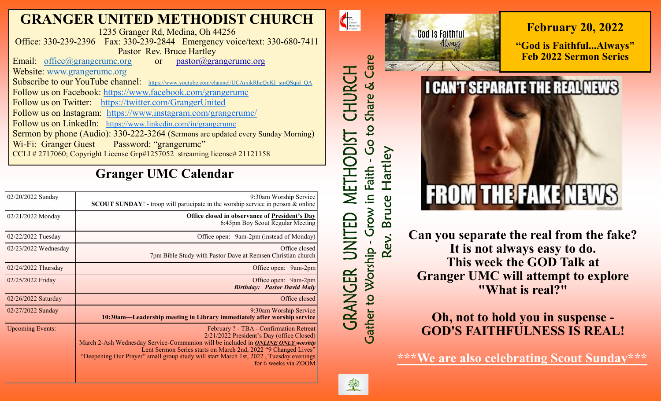## **GRANGER UNITED METHODIST CHURCH**

1235 Granger Rd, Medina, Oh 44256 Office: 330-239-2396 Fax: 330-239-2844 Emergency voice/text: 330-680-7411 Pastor Rev. Bruce Hartley

Email: [office@grangerumc.org](mailto:office@grangerumc.org) or pastor@grangerumc.org Website: [www.grangerumc.org](http://www.grangerumc.org) Subscribe to our YouTube channel: [https://www.youtube.com/channel/UCAmjkRhcQnKI\\_smQSqjd\\_QA](https://www.youtube.com/channel/UCAmjkRhcQnKI_smQSqjd_QA) Follow us on Facebook: <https://www.facebook.com/grangerumc> Follow us on Twitter: <https://twitter.com/GrangerUnited> Follow us on Instagram: <https://www.instagram.com/grangerumc/> Follow us on LinkedIn: [https://www.linkedin.com/in/grangerumc](https://www.linkedin.com/in/secretary-granger-umc-1a9850215/detail/recent-activity/) Sermon by phone (Audio): 330-222-3264 (Sermons are updated every Sunday Morning) Wi-Fi: Granger Guest Password: "grangerumc" CCLI # 2717060; Copyright License Grp#1257052 streaming license# 21121158

# **Granger UMC Calendar**

| 02/20/2022 Sunday       | 9:30am Worship Service<br><b>SCOUT SUNDAY!</b> - troop will participate in the worship service in person $\&$ online                                                                                                                                                                                                                                       |
|-------------------------|------------------------------------------------------------------------------------------------------------------------------------------------------------------------------------------------------------------------------------------------------------------------------------------------------------------------------------------------------------|
| 02/21/2022 Monday       | Office closed in observance of President's Day<br>6:45pm Boy Scout Regular Meeting                                                                                                                                                                                                                                                                         |
| 02/22/2022 Tuesday      | Office open: 9am-2pm (instead of Monday)                                                                                                                                                                                                                                                                                                                   |
| $02/23/2022$ Wednesday  | Office closed<br>7pm Bible Study with Pastor Dave at Remsen Christian church                                                                                                                                                                                                                                                                               |
| 02/24/2022 Thursday     | Office open: 9am-2pm                                                                                                                                                                                                                                                                                                                                       |
| 02/25/2022 Friday       | Office open: 9am-2pm<br><b>Birthday:</b> Pastor David Maly                                                                                                                                                                                                                                                                                                 |
| 02/26/2022 Saturday     | Office closed                                                                                                                                                                                                                                                                                                                                              |
| 02/27/2022 Sunday       | 9:30am Worship Service<br>10:30am—Leadership meeting in Library immediately after worship service                                                                                                                                                                                                                                                          |
| <b>Upcoming Events:</b> | February ? - TBA - Confirmation Retreat<br>2/21/2022 President's Day (office Closed)<br>March 2-Ash Wednesday Service-Communion will be included in ONLINE ONLY worship<br>Lent Sermon Series starts on March 2nd, 2022 "9 Changed Lives"<br>"Deepening Our Prayer" small group study will start March 1st, 2022, Tuesday evenings<br>for 6 weeks via ZOOM |



**Can you separate the real from the fake? It is not always easy to do. This week the GOD Talk at Granger UMC will attempt to explore "What is real?"**

## **Oh, not to hold you in suspense - GOD'S FAITHFULNESS IS REAL!**

**\*\*\*We are also celebrating Scout Sunday\*\*\***



 $\begin{tabular}{|c|c|} \hline \multicolumn{1}{c|}{The United Methodist}\\ \hline Unurch\\ \hline \end{tabular}$ 

CHURCH

METHODIST

UNITED

*GRANGER* 

Care

Share &

Go to

Faith

Grow in

**Gather to Worship** 

Rev.